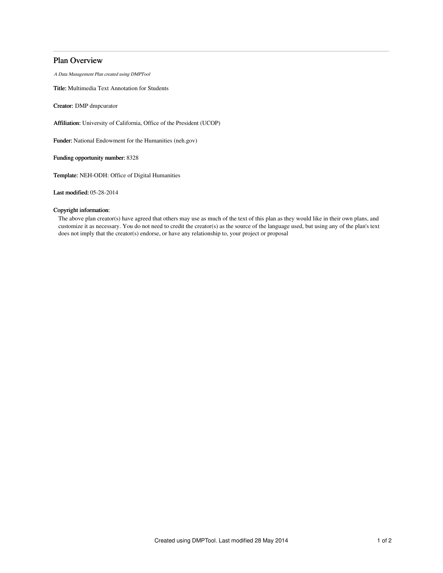# Plan Overview

A Data Management Plan created using DMPTool

Title: Multimedia Text Annotation for Students

Creator: DMP dmpcurator

Affiliation: University of California, Office of the President (UCOP)

Funder: National Endowment for the Humanities (neh.gov)

Funding opportunity number: 8328

Template: NEH-ODH: Office of Digital Humanities

Last modified: 05-28-2014

## Copyright information:

The above plan creator(s) have agreed that others may use as much of the text of this plan as they would like in their own plans, and customize it as necessary. You do not need to credit the creator(s) as the source of the language used, but using any of the plan's text does not imply that the creator(s) endorse, or have any relationship to, your project or proposal